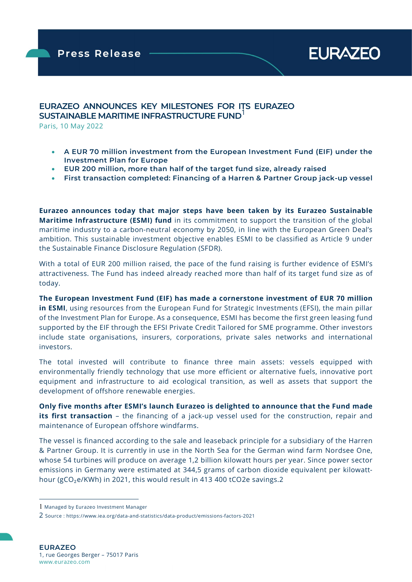**EURAZEO** 

## EURAZEO ANNOUNCES KEY MILESTONES FOR ITS EURAZEO SUSTAINABLE MARITIME INFRASTRUCTURE FUND

Paris, 10 May 2022

ł

- A EUR 70 million investment from the European Investment Fund (EIF) under the Investment Plan for Europe
- EUR 200 million, more than half of the target fund size, already raised
- First transaction completed: Financing of a Harren & Partner Group jack-up vessel

Eurazeo announces today that major steps have been taken by its Eurazeo Sustainable Maritime Infrastructure (ESMI) fund in its commitment to support the transition of the global maritime industry to a carbon-neutral economy by 2050, in line with the European Green Deal's ambition. This sustainable investment objective enables ESMI to be classified as Article 9 under the Sustainable Finance Disclosure Regulation (SFDR).

With a total of EUR 200 million raised, the pace of the fund raising is further evidence of ESMI's attractiveness. The Fund has indeed already reached more than half of its target fund size as of today.

The European Investment Fund (EIF) has made a cornerstone investment of EUR 70 million in ESMI, using resources from the European Fund for Strategic Investments (EFSI), the main pillar of the Investment Plan for Europe. As a consequence, ESMI has become the first green leasing fund supported by the EIF through the EFSI Private Credit Tailored for SME programme. Other investors include state organisations, insurers, corporations, private sales networks and international investors.

The total invested will contribute to finance three main assets: vessels equipped with environmentally friendly technology that use more efficient or alternative fuels, innovative port equipment and infrastructure to aid ecological transition, as well as assets that support the development of offshore renewable energies.

Only five months after ESMI's launch Eurazeo is delighted to announce that the Fund made its first transaction - the financing of a jack-up vessel used for the construction, repair and maintenance of European offshore windfarms.

The vessel is financed according to the sale and leaseback principle for a subsidiary of the Harren & Partner Group. It is currently in use in the North Sea for the German wind farm Nordsee One, whose 54 turbines will produce on average 1,2 billion kilowatt hours per year. Since power sector emissions in Germany were estimated at 344,5 grams of carbon dioxide equivalent per kilowatthour (gCO<sub>2</sub>e/KWh) in 2021, this would result in 413 400 tCO2e savings.2

<sup>1</sup> Managed by Eurazeo Investment Manager

<sup>2</sup> Source : https://www.iea.org/data-and-statistics/data-product/emissions-factors-2021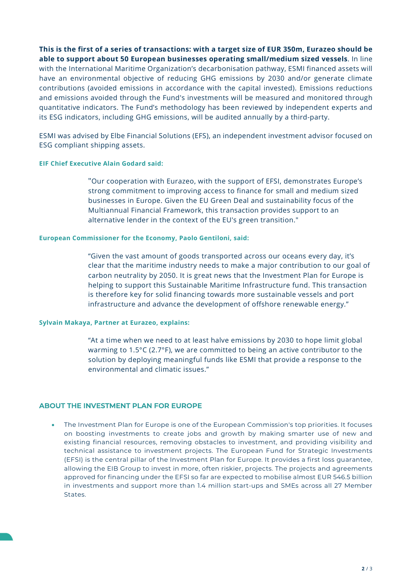This is the first of a series of transactions: with a target size of EUR 350m, Eurazeo should be able to support about 50 European businesses operating small/medium sized vessels. In line with the International Maritime Organization's decarbonisation pathway, ESMI financed assets will have an environmental objective of reducing GHG emissions by 2030 and/or generate climate contributions (avoided emissions in accordance with the capital invested). Emissions reductions and emissions avoided through the Fund's investments will be measured and monitored through quantitative indicators. The Fund's methodology has been reviewed by independent experts and its ESG indicators, including GHG emissions, will be audited annually by a third-party.

ESMI was advised by Elbe Financial Solutions (EFS), an independent investment advisor focused on ESG compliant shipping assets.

#### EIF Chief Executive Alain Godard said:

"Our cooperation with Eurazeo, with the support of EFSI, demonstrates Europe's strong commitment to improving access to finance for small and medium sized businesses in Europe. Given the EU Green Deal and sustainability focus of the Multiannual Financial Framework, this transaction provides support to an alternative lender in the context of the EU's green transition."

#### European Commissioner for the Economy, Paolo Gentiloni, said:

"Given the vast amount of goods transported across our oceans every day, it's clear that the maritime industry needs to make a major contribution to our goal of carbon neutrality by 2050. It is great news that the Investment Plan for Europe is helping to support this Sustainable Maritime Infrastructure fund. This transaction is therefore key for solid financing towards more sustainable vessels and port infrastructure and advance the development of offshore renewable energy."

#### Sylvain Makaya, Partner at Eurazeo, explains:

"At a time when we need to at least halve emissions by 2030 to hope limit global warming to 1.5°C (2.7°F), we are committed to being an active contributor to the solution by deploying meaningful funds like ESMI that provide a response to the environmental and climatic issues."

#### ABOUT THE INVESTMENT PLAN FOR EUROPE

 The Investment Plan for Europe is one of the European Commission's top priorities. It focuses on boosting investments to create jobs and growth by making smarter use of new and existing financial resources, removing obstacles to investment, and providing visibility and technical assistance to investment projects. The European Fund for Strategic Investments (EFSI) is the central pillar of the Investment Plan for Europe. It provides a first loss guarantee, allowing the EIB Group to invest in more, often riskier, projects. The projects and agreements approved for financing under the EFSI so far are expected to mobilise almost EUR 546.5 billion in investments and support more than 1.4 million start-ups and SMEs across all 27 Member States.